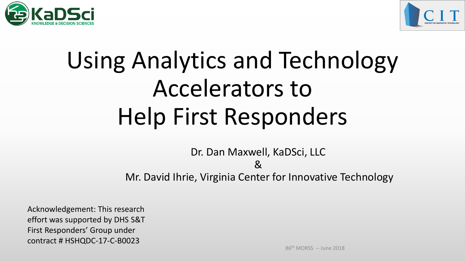



# Using Analytics and Technology Accelerators to Help First Responders

Dr. Dan Maxwell, KaDSci, LLC & Mr. David Ihrie, Virginia Center for Innovative Technology

Acknowledgement: This research effort was supported by DHS S&T First Responders' Group under contract # HSHQDC-17-C-B0023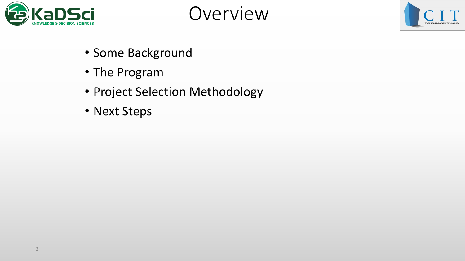





- Some Background
- The Program
- Project Selection Methodology
- Next Steps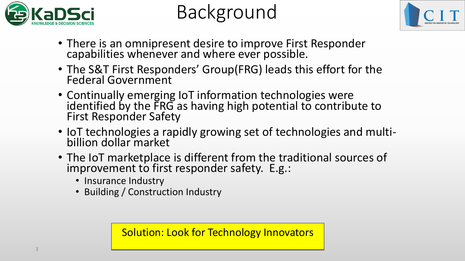

### Background



- There is an omnipresent desire to improve First Responder capabilities whenever and where ever possible.
- The S&T First Responders' Group(FRG) leads this effort for the Federal Government
- Continually emerging IoT information technologies were identified by the FRG as having high potential to contribute to First Responder Safety
- IoT technologies a rapidly growing set of technologies and multibillion dollar market
- The IoT marketplace is different from the traditional sources of improvement to first responder safety. E.g.:
	- Insurance Industry
	- Building / Construction Industry

Solution: Look for Technology Innovators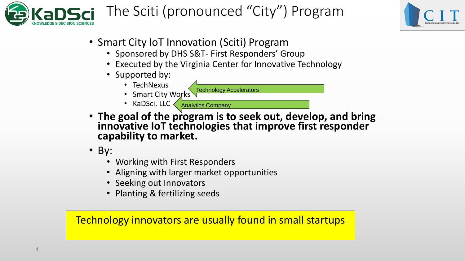

#### The Sciti (pronounced "City") Program



- Smart City IoT Innovation (Sciti) Program
	- Sponsored by DHS S&T- First Responders' Group
	- Executed by the Virginia Center for Innovative Technology
	- Supported by:
		- TechNexus

• Smart City Works

**Technology Accelerators** 

- KaDSci, LLC Analytics Company
- **The goal of the program is to seek out, develop, and bring innovative IoT technologies that improve first responder capability to market.**
- By:
	- Working with First Responders
	- Aligning with larger market opportunities
	- Seeking out Innovators
	- Planting & fertilizing seeds

Technology innovators are usually found in small startups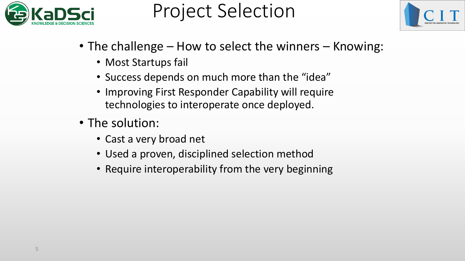

Project Selection



- The challenge How to select the winners Knowing:
	- Most Startups fail
	- Success depends on much more than the "idea"
	- Improving First Responder Capability will require technologies to interoperate once deployed.
- The solution:
	- Cast a very broad net
	- Used a proven, disciplined selection method
	- Require interoperability from the very beginning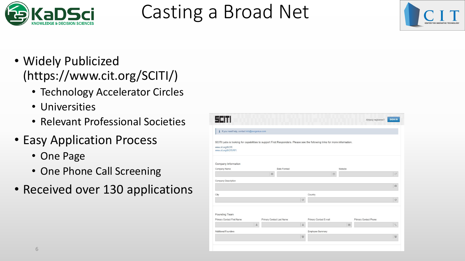

#### Casting a Broad Net



- Widely Publicized (https://www.cit.org/SCITI/)
	- Technology Accelerator Circles
	- Universities
	- Relevant Professional Societies
- Easy Application Process
	- One Page
	- One Phone Call Screening
- Received over 130 applications

| Een                                                                                                                                                                    |                           |         |                        |         | Already registered?   | <b>SIGN IN</b>        |
|------------------------------------------------------------------------------------------------------------------------------------------------------------------------|---------------------------|---------|------------------------|---------|-----------------------|-----------------------|
| i If you need help, contact info@exogenius.com                                                                                                                         |                           |         |                        |         |                       |                       |
| SCITI Labs is looking for capabilities to support First Responders. Please see the following links for more information.<br>www.cit.org/SCITI<br>www.cit.org/SCITI/RFI |                           |         |                        |         |                       |                       |
| Company Information<br>Company Name                                                                                                                                    | Date Formed               |         |                        | Website |                       |                       |
|                                                                                                                                                                        | 曲                         |         | 面                      |         |                       | $\mathbb{Z}$          |
| Company Description                                                                                                                                                    |                           |         | Country                |         |                       | 齒                     |
| City                                                                                                                                                                   |                           | $\circ$ |                        |         |                       | $\circ$               |
| Founding Team<br>Primary Contact First Name                                                                                                                            | Primary Contact Last Name |         | Primary Contact E-mail |         | Primary Contact Phone |                       |
| $\Delta$                                                                                                                                                               |                           | å       |                        | 器       |                       | $\mathcal{L}_{\rm c}$ |
| Additional Founders                                                                                                                                                    |                           |         | Employee Summary       |         |                       | 營                     |
|                                                                                                                                                                        |                           | 營       |                        |         |                       |                       |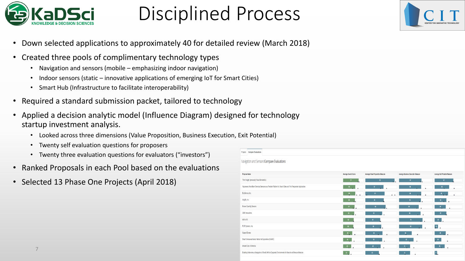

#### Disciplined Process



- Down selected applications to approximately 40 for detailed review (March 2018)
- Created three pools of complimentary technology types
	- Navigation and sensors (mobile emphasizing indoor navigation)
	- Indoor sensors (static innovative applications of emerging IoT for Smart Cities)
	- Smart Hub (Infrastructure to facilitate interoperability)
- Required a standard submission packet, tailored to technology
- Applied a decision analytic model (Influence Diagram) designed for technology startup investment analysis.
	- Looked across three dimensions (Value Proposition, Business Execution, Exit Potential)
	- Twenty self evaluation questions for proposers
	- Twenty three evaluation questions for evaluators ("investors")
- Ranked Proposals in each Pool based on the evaluations
- Selected 13 Phase One Projects (April 2018)

| Projects Compare Evaluations                                                                                   |                          |                                   |                                    |                                                             |
|----------------------------------------------------------------------------------------------------------------|--------------------------|-----------------------------------|------------------------------------|-------------------------------------------------------------|
| Navigation and Sensors Compare Evaluations                                                                     |                          |                                   |                                    |                                                             |
| Proposal Name                                                                                                  | Average Overall Score    | Average Value Proposition Measure | Average Business Execution Measure | Average Exit Potential Measure                              |
| Third Insight (previously Visual Semantics)                                                                    | $\pi$                    | 92                                | 67                                 | 67                                                          |
| Vaporsens: Nanofiber Chemical Sensors as a Flexible Platform for Smart Cities and First Responder Applications |                          | 57                                | 66                                 | 62                                                          |
| EcoDomus, Inc.                                                                                                 | 60                       | 61                                | $66^\circ$                         | $\begin{array}{c} \hline \end{array}$                       |
| Airgility, Inc.                                                                                                |                          | $^{58}$                           | $65\,$                             | $\frac{1}{2}$                                               |
| Known Quantity Sensors                                                                                         | $\overline{M}$           | 64                                | 59                                 | 40                                                          |
| 3AM Innovations                                                                                                | 55                       | $\pmb{\mathbb{S}}$                | $\mathbf{M}$                       | 42                                                          |
| sitch aillic                                                                                                   | 52                       | 47                                | 70                                 | $\mathbb{R}$                                                |
| FLIR Systems, Inc.                                                                                             | 50                       | 50 <sub>1</sub>                   | $\theta$                           | 12                                                          |
| <b>Casper Drones</b>                                                                                           | $\overline{45}$          | M.                                | $\mathbf{3}$                       | $\begin{array}{ccc} & & \text{ii} & \text{iii} \end{array}$ |
| Smart Unmanned Aerial Vehicle for Exploration (SUAVE)                                                          | $\overline{a}$           | 53                                | $\sqrt{3}$                         | $^{24}$                                                     |
| Amulet Corp of America                                                                                         | $\overline{\phantom{a}}$ | $48$                              | 33                                 | $\begin{array}{c c c c c} \hline \end{array}$ 36            |
| Enabling Autonomous Navigation of Small UAVs in Degraded Environments for Search and Rescue Missions           | 32 <sup>o</sup>          | $\boldsymbol{B}$                  | $\,$ 33 $\,$                       | $\mathbf{B}_{\mathbf{R}}$                                   |
|                                                                                                                |                          |                                   |                                    |                                                             |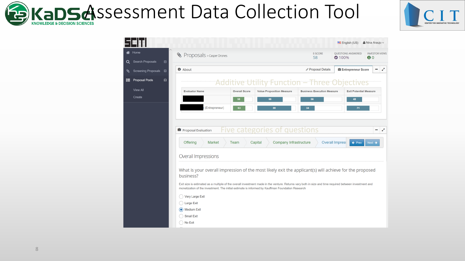## **BIKADS ASSESSMENT Data Collection Tool**



|    |                                                          |             |                                                                                                                                                                                                                                                            |                      |                                  |                                   | $\triangle$ Nina Araujo $\vee$<br>English (US)                                             |  |  |  |
|----|----------------------------------------------------------|-------------|------------------------------------------------------------------------------------------------------------------------------------------------------------------------------------------------------------------------------------------------------------|----------------------|----------------------------------|-----------------------------------|--------------------------------------------------------------------------------------------|--|--|--|
|    | <b>谷</b> Home                                            |             | Reproposals > Casper Drones                                                                                                                                                                                                                                |                      |                                  | <b>E-SCORE</b><br>58              | QUESTIONS ANSWERED<br><b>INVESTOR VIEWS</b><br>$\bullet$ 100%<br>$\mathbf{0}$ <sup>0</sup> |  |  |  |
| Q. | Search Proposals                                         | $\bigoplus$ |                                                                                                                                                                                                                                                            |                      |                                  |                                   |                                                                                            |  |  |  |
| Ø. | Screening Proposals <b>田</b>                             |             | <b>O</b> About                                                                                                                                                                                                                                             |                      |                                  | <b>Proposal Details</b>           | √<br><b>E</b> Entrepreneur Score                                                           |  |  |  |
| ⊨  | Proposal Pools                                           | $\Box$      | Additive Utility Function – Three Objectives                                                                                                                                                                                                               |                      |                                  |                                   |                                                                                            |  |  |  |
|    | <b>View All</b>                                          |             | <b>Evaluator Name</b>                                                                                                                                                                                                                                      | <b>Overall Score</b> | <b>Value Proposition Measure</b> | <b>Business Execution Measure</b> | <b>Exit Potential Measure</b>                                                              |  |  |  |
|    | Create                                                   |             |                                                                                                                                                                                                                                                            | 58                   | 66                               | 56                                | 48                                                                                         |  |  |  |
|    |                                                          |             | (Entrepreneur)                                                                                                                                                                                                                                             | 63                   | 88                               | 34                                | 71                                                                                         |  |  |  |
|    |                                                          |             |                                                                                                                                                                                                                                                            |                      |                                  |                                   |                                                                                            |  |  |  |
|    |                                                          |             |                                                                                                                                                                                                                                                            |                      |                                  |                                   |                                                                                            |  |  |  |
|    | Five categories of questions<br>Proposal Evaluation<br>√ |             |                                                                                                                                                                                                                                                            |                      |                                  |                                   |                                                                                            |  |  |  |
|    |                                                          |             |                                                                                                                                                                                                                                                            |                      |                                  |                                   |                                                                                            |  |  |  |
|    |                                                          |             | <b>Company Infrastructure</b><br><b>Overall Impress</b><br><b>Market</b><br><b>Offering</b><br>Team<br>Capital<br>$\leftarrow$ Prev<br>Next $\rightarrow$                                                                                                  |                      |                                  |                                   |                                                                                            |  |  |  |
|    |                                                          |             | Overall Impressions                                                                                                                                                                                                                                        |                      |                                  |                                   |                                                                                            |  |  |  |
|    |                                                          |             |                                                                                                                                                                                                                                                            |                      |                                  |                                   |                                                                                            |  |  |  |
|    |                                                          |             | What is your overall impression of the most likely exit the applicant(s) will achieve for the proposed<br>business?                                                                                                                                        |                      |                                  |                                   |                                                                                            |  |  |  |
|    |                                                          |             | Exit size is estimated as a multiple of the overall investment made in the venture. Returns vary both in size and time required between investment and<br>monetization of the investment. The initial estimate is informed by Kauffman Foundation Research |                      |                                  |                                   |                                                                                            |  |  |  |
|    |                                                          |             | Very Large Exit                                                                                                                                                                                                                                            |                      |                                  |                                   |                                                                                            |  |  |  |
|    |                                                          |             | Large Exit                                                                                                                                                                                                                                                 |                      |                                  |                                   |                                                                                            |  |  |  |
|    |                                                          |             | O Medium Exit                                                                                                                                                                                                                                              |                      |                                  |                                   |                                                                                            |  |  |  |
|    |                                                          |             | <b>Small Exit</b>                                                                                                                                                                                                                                          |                      |                                  |                                   |                                                                                            |  |  |  |
|    |                                                          |             | No Exit                                                                                                                                                                                                                                                    |                      |                                  |                                   |                                                                                            |  |  |  |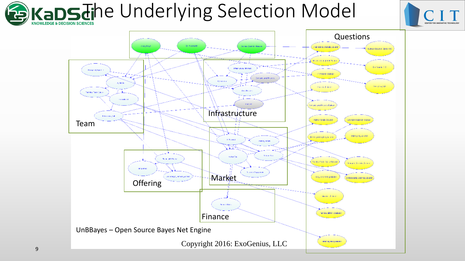### **B**KaDSdihe Underlying Selection Model



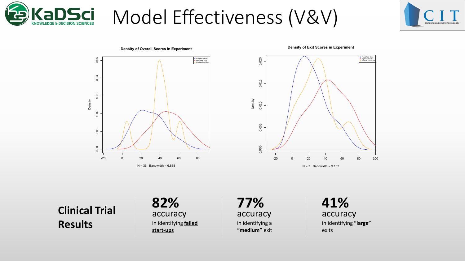

Model Effectiveness (V&V)





**Density of Exit Scores in Experiment**



**Clinical Trial Results**

**82%** accuracy in identifying **failed start-ups**

**77%** accuracy in identifying a **"medium"** exit **41%** accuracy in identifying **"large"**  exits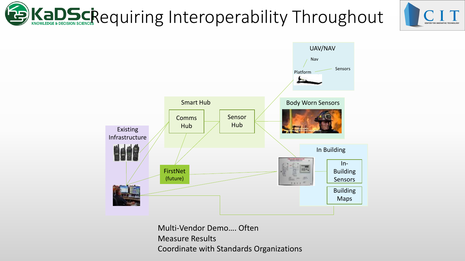# KaDScRequiring Interoperability Throughout





Multi-Vendor Demo…. Often Measure Results Coordinate with Standards Organizations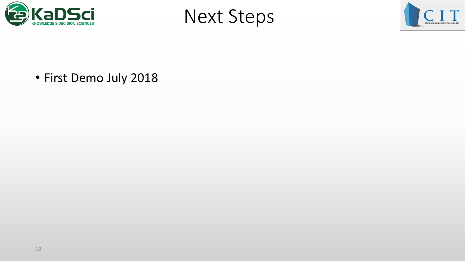

Next Steps



• First Demo July 2018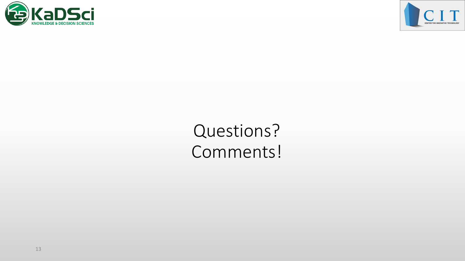



#### Questions? Comments!